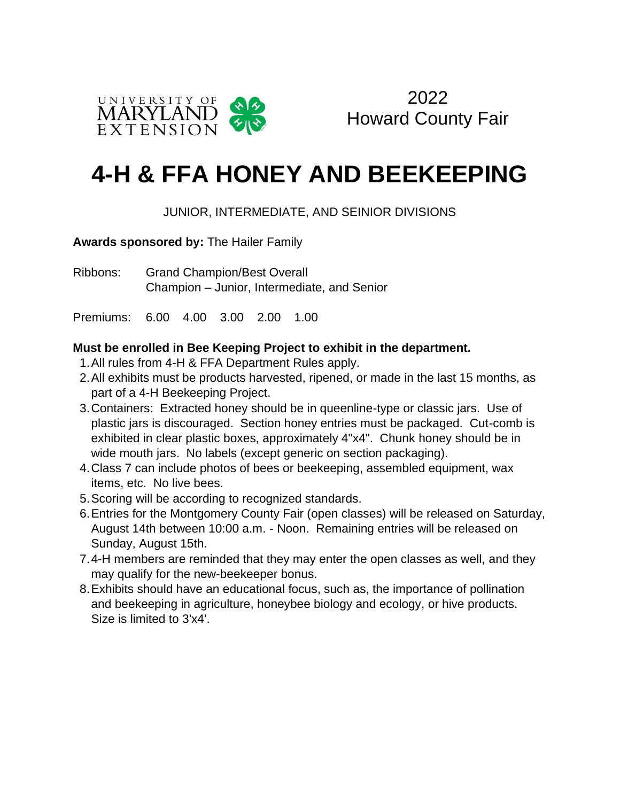

2022 Howard County Fair

## **4-H & FFA HONEY AND BEEKEEPING**

## JUNIOR, INTERMEDIATE, AND SEINIOR DIVISIONS

**Awards sponsored by:** The Hailer Family

Ribbons: Grand Champion/Best Overall Champion – Junior, Intermediate, and Senior

Premiums: 6.00 4.00 3.00 2.00 1.00

## **Must be enrolled in Bee Keeping Project to exhibit in the department.**

- 1.All rules from 4-H & FFA Department Rules apply.
- 2.All exhibits must be products harvested, ripened, or made in the last 15 months, as part of a 4-H Beekeeping Project.
- 3.Containers: Extracted honey should be in queenline-type or classic jars. Use of plastic jars is discouraged. Section honey entries must be packaged. Cut-comb is exhibited in clear plastic boxes, approximately 4"x4". Chunk honey should be in wide mouth jars. No labels (except generic on section packaging).
- 4.Class 7 can include photos of bees or beekeeping, assembled equipment, wax items, etc. No live bees.
- 5.Scoring will be according to recognized standards.
- 6.Entries for the Montgomery County Fair (open classes) will be released on Saturday, August 14th between 10:00 a.m. - Noon. Remaining entries will be released on Sunday, August 15th.
- 7.4-H members are reminded that they may enter the open classes as well, and they may qualify for the new-beekeeper bonus.
- 8.Exhibits should have an educational focus, such as, the importance of pollination and beekeeping in agriculture, honeybee biology and ecology, or hive products. Size is limited to 3'x4'.